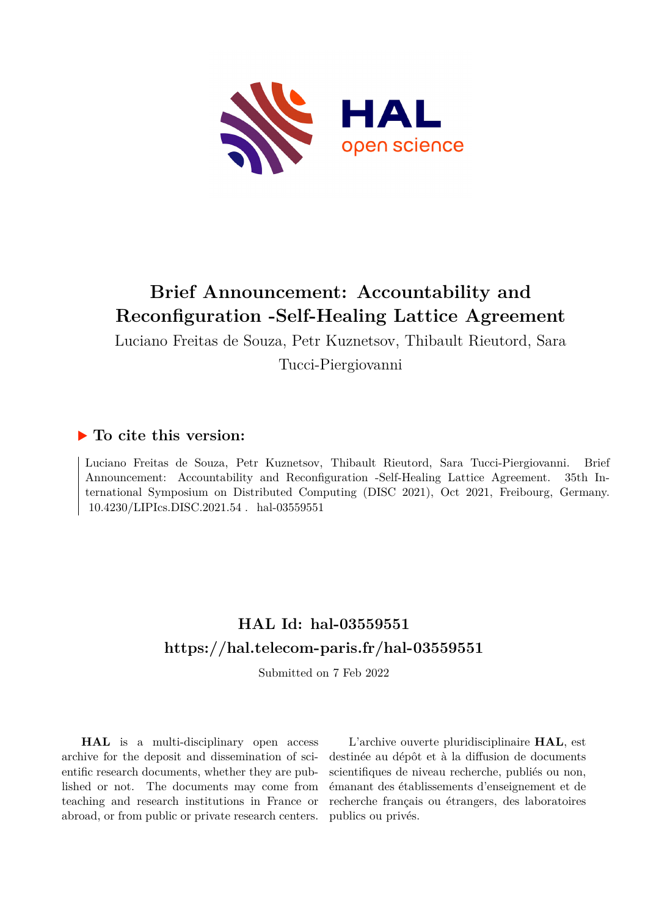

# **Brief Announcement: Accountability and Reconfiguration -Self-Healing Lattice Agreement**

Luciano Freitas de Souza, Petr Kuznetsov, Thibault Rieutord, Sara Tucci-Piergiovanni

## **To cite this version:**

Luciano Freitas de Souza, Petr Kuznetsov, Thibault Rieutord, Sara Tucci-Piergiovanni. Brief Announcement: Accountability and Reconfiguration -Self-Healing Lattice Agreement. 35th International Symposium on Distributed Computing (DISC 2021), Oct 2021, Freibourg, Germany.  $10.4230/LIPIcs.DISC.2021.54$ . hal-03559551

## **HAL Id: hal-03559551 <https://hal.telecom-paris.fr/hal-03559551>**

Submitted on 7 Feb 2022

**HAL** is a multi-disciplinary open access archive for the deposit and dissemination of scientific research documents, whether they are published or not. The documents may come from teaching and research institutions in France or abroad, or from public or private research centers.

L'archive ouverte pluridisciplinaire **HAL**, est destinée au dépôt et à la diffusion de documents scientifiques de niveau recherche, publiés ou non, émanant des établissements d'enseignement et de recherche français ou étrangers, des laboratoires publics ou privés.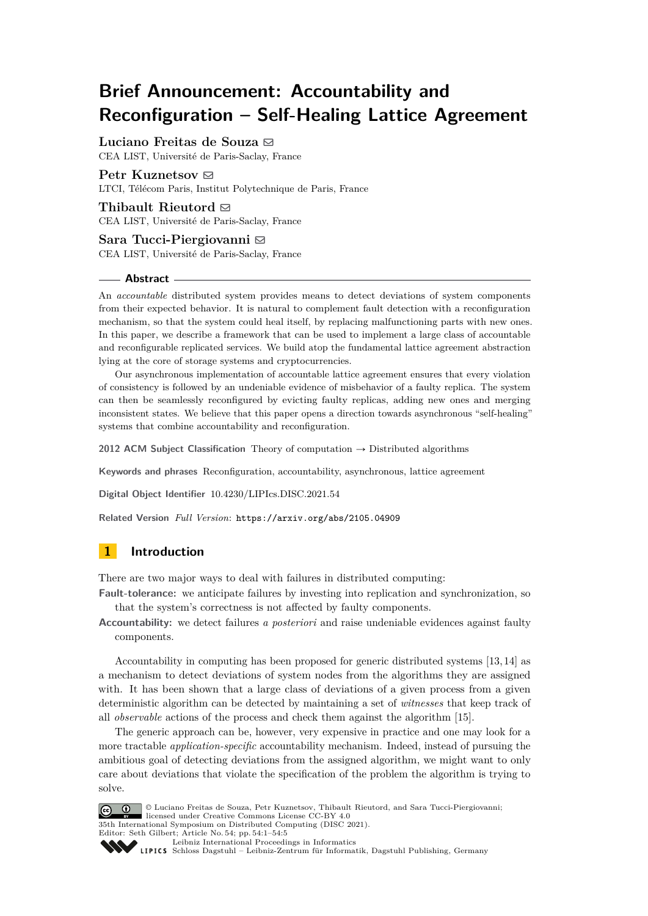## **Brief Announcement: Accountability and Reconfiguration – Self-Healing Lattice Agreement**

### Luciano Freitas de Souza  $\boxtimes$

Petr Kuznetsov $\boxtimes$ 

CEA LIST, Université de Paris-Saclay, France

LTCI, Télécom Paris, Institut Polytechnique de Paris, France

Thibault Rieutord  $\boxtimes$ CEA LIST, Université de Paris-Saclay, France

Sara Tucci-Piergiovanni **⊠** CEA LIST, Université de Paris-Saclay, France

### **Abstract**

An *accountable* distributed system provides means to detect deviations of system components from their expected behavior. It is natural to complement fault detection with a reconfiguration mechanism, so that the system could heal itself, by replacing malfunctioning parts with new ones. In this paper, we describe a framework that can be used to implement a large class of accountable and reconfigurable replicated services. We build atop the fundamental lattice agreement abstraction lying at the core of storage systems and cryptocurrencies.

Our asynchronous implementation of accountable lattice agreement ensures that every violation of consistency is followed by an undeniable evidence of misbehavior of a faulty replica. The system can then be seamlessly reconfigured by evicting faulty replicas, adding new ones and merging inconsistent states. We believe that this paper opens a direction towards asynchronous "self-healing" systems that combine accountability and reconfiguration.

**2012 ACM Subject Classification** Theory of computation  $\rightarrow$  Distributed algorithms

**Keywords and phrases** Reconfiguration, accountability, asynchronous, lattice agreement

**Digital Object Identifier** [10.4230/LIPIcs.DISC.2021.54](https://doi.org/10.4230/LIPIcs.DISC.2021.54)

**Related Version** *Full Version*: <https://arxiv.org/abs/2105.04909>

## **1 Introduction**

There are two major ways to deal with failures in distributed computing:

- **Fault-tolerance:** we anticipate failures by investing into replication and synchronization, so that the system's correctness is not affected by faulty components.
- **Accountability:** we detect failures *a posteriori* and raise undeniable evidences against faulty components.

Accountability in computing has been proposed for generic distributed systems [13, 14] as a mechanism to detect deviations of system nodes from the algorithms they are assigned with. It has been shown that a large class of deviations of a given process from a given deterministic algorithm can be detected by maintaining a set of *witnesses* that keep track of all *observable* actions of the process and check them against the algorithm [15].

The generic approach can be, however, very expensive in practice and one may look for a more tractable *application-specific* accountability mechanism. Indeed, instead of pursuing the ambitious goal of detecting deviations from the assigned algorithm, we might want to only care about deviations that violate the specification of the problem the algorithm is trying to solve.



© Luciano Freitas de Souza, Petr Kuznetsov, Thibault Rieutord, and Sara Tucci-Piergiovanni; licensed under Creative Commons License CC-BY 4.0 35th International Symposium on Distributed Computing (DISC 2021). Editor: Seth Gilbert; Article No. 54; pp. 54:1–54:5 [Leibniz International Proceedings in Informatics](https://www.dagstuhl.de/lipics/)

Leibniz international Floretungs in missimosische Publishing, Germany<br>LIPICS [Schloss Dagstuhl – Leibniz-Zentrum für Informatik, Dagstuhl Publishing, Germany](https://www.dagstuhl.de)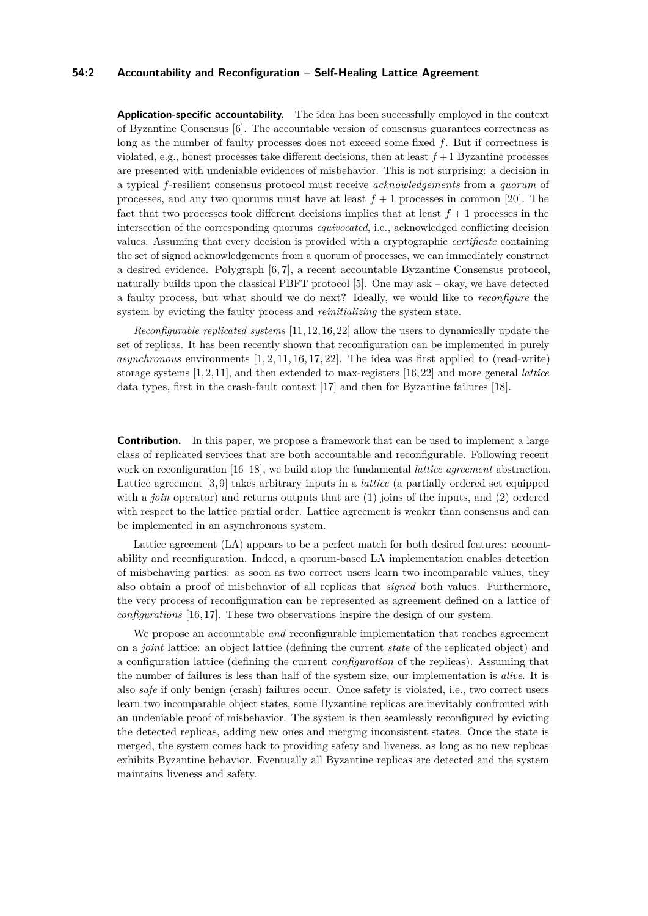### **54:2 Accountability and Reconfiguration – Self-Healing Lattice Agreement**

**Application-specific accountability.** The idea has been successfully employed in the context of Byzantine Consensus [6]. The accountable version of consensus guarantees correctness as long as the number of faulty processes does not exceed some fixed *f*. But if correctness is violated, e.g., honest processes take different decisions, then at least  $f + 1$  Byzantine processes are presented with undeniable evidences of misbehavior. This is not surprising: a decision in a typical *f*-resilient consensus protocol must receive *acknowledgements* from a *quorum* of processes, and any two quorums must have at least  $f + 1$  processes in common [20]. The fact that two processes took different decisions implies that at least  $f + 1$  processes in the intersection of the corresponding quorums *equivocated*, i.e., acknowledged conflicting decision values. Assuming that every decision is provided with a cryptographic *certificate* containing the set of signed acknowledgements from a quorum of processes, we can immediately construct a desired evidence. Polygraph [6, 7], a recent accountable Byzantine Consensus protocol, naturally builds upon the classical PBFT protocol [5]. One may ask – okay, we have detected a faulty process, but what should we do next? Ideally, we would like to *reconfigure* the system by evicting the faulty process and *reinitializing* the system state.

*Reconfigurable replicated systems* [11, 12, 16, 22] allow the users to dynamically update the set of replicas. It has been recently shown that reconfiguration can be implemented in purely  $asynchronous$  environments  $[1, 2, 11, 16, 17, 22]$ . The idea was first applied to (read-write) storage systems [1, 2, 11], and then extended to max-registers [16, 22] and more general *lattice* data types, first in the crash-fault context [17] and then for Byzantine failures [18].

**Contribution.** In this paper, we propose a framework that can be used to implement a large class of replicated services that are both accountable and reconfigurable. Following recent work on reconfiguration [16–18], we build atop the fundamental *lattice agreement* abstraction. Lattice agreement [3, 9] takes arbitrary inputs in a *lattice* (a partially ordered set equipped with a *join* operator) and returns outputs that are (1) joins of the inputs, and (2) ordered with respect to the lattice partial order. Lattice agreement is weaker than consensus and can be implemented in an asynchronous system.

Lattice agreement (LA) appears to be a perfect match for both desired features: accountability and reconfiguration. Indeed, a quorum-based LA implementation enables detection of misbehaving parties: as soon as two correct users learn two incomparable values, they also obtain a proof of misbehavior of all replicas that *signed* both values. Furthermore, the very process of reconfiguration can be represented as agreement defined on a lattice of *configurations* [16, 17]. These two observations inspire the design of our system.

We propose an accountable *and* reconfigurable implementation that reaches agreement on a *joint* lattice: an object lattice (defining the current *state* of the replicated object) and a configuration lattice (defining the current *configuration* of the replicas). Assuming that the number of failures is less than half of the system size, our implementation is *alive*. It is also *safe* if only benign (crash) failures occur. Once safety is violated, i.e., two correct users learn two incomparable object states, some Byzantine replicas are inevitably confronted with an undeniable proof of misbehavior. The system is then seamlessly reconfigured by evicting the detected replicas, adding new ones and merging inconsistent states. Once the state is merged, the system comes back to providing safety and liveness, as long as no new replicas exhibits Byzantine behavior. Eventually all Byzantine replicas are detected and the system maintains liveness and safety.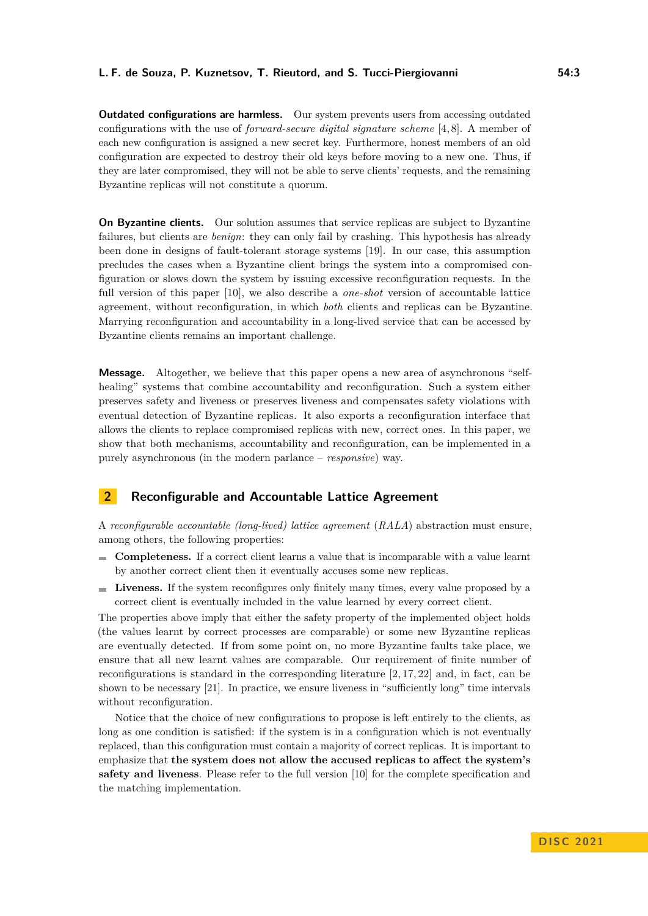### **L. F. de Souza, P. Kuznetsov, T. Rieutord, and S. Tucci-Piergiovanni 54:3**

**Outdated configurations are harmless.** Our system prevents users from accessing outdated configurations with the use of *forward-secure digital signature scheme* [4, 8]. A member of each new configuration is assigned a new secret key. Furthermore, honest members of an old configuration are expected to destroy their old keys before moving to a new one. Thus, if they are later compromised, they will not be able to serve clients' requests, and the remaining Byzantine replicas will not constitute a quorum.

**On Byzantine clients.** Our solution assumes that service replicas are subject to Byzantine failures, but clients are *benign*: they can only fail by crashing. This hypothesis has already been done in designs of fault-tolerant storage systems [19]. In our case, this assumption precludes the cases when a Byzantine client brings the system into a compromised configuration or slows down the system by issuing excessive reconfiguration requests. In the full version of this paper [10], we also describe a *one-shot* version of accountable lattice agreement, without reconfiguration, in which *both* clients and replicas can be Byzantine. Marrying reconfiguration and accountability in a long-lived service that can be accessed by Byzantine clients remains an important challenge.

**Message.** Altogether, we believe that this paper opens a new area of asynchronous "selfhealing" systems that combine accountability and reconfiguration. Such a system either preserves safety and liveness or preserves liveness and compensates safety violations with eventual detection of Byzantine replicas. It also exports a reconfiguration interface that allows the clients to replace compromised replicas with new, correct ones. In this paper, we show that both mechanisms, accountability and reconfiguration, can be implemented in a purely asynchronous (in the modern parlance – *responsive*) way.

## **2 Reconfigurable and Accountable Lattice Agreement**

A *reconfigurable accountable (long-lived) lattice agreement* (*RALA*) abstraction must ensure, among others, the following properties:

- **Completeness.** If a correct client learns a value that is incomparable with a value learnt by another correct client then it eventually accuses some new replicas.
- **Liveness.** If the system reconfigures only finitely many times, every value proposed by a correct client is eventually included in the value learned by every correct client.

The properties above imply that either the safety property of the implemented object holds (the values learnt by correct processes are comparable) or some new Byzantine replicas are eventually detected. If from some point on, no more Byzantine faults take place, we ensure that all new learnt values are comparable. Our requirement of finite number of reconfigurations is standard in the corresponding literature [2, 17, 22] and, in fact, can be shown to be necessary [21]. In practice, we ensure liveness in "sufficiently long" time intervals without reconfiguration.

Notice that the choice of new configurations to propose is left entirely to the clients, as long as one condition is satisfied: if the system is in a configuration which is not eventually replaced, than this configuration must contain a majority of correct replicas. It is important to emphasize that **the system does not allow the accused replicas to affect the system's safety and liveness**. Please refer to the full version [10] for the complete specification and the matching implementation.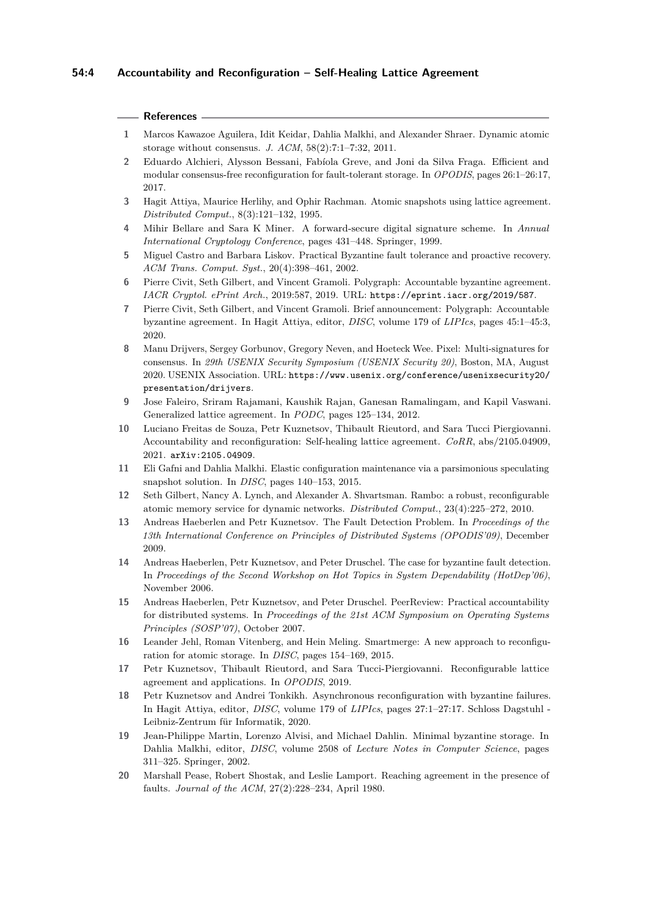### **References**

- **1** Marcos Kawazoe Aguilera, Idit Keidar, Dahlia Malkhi, and Alexander Shraer. Dynamic atomic storage without consensus. *J. ACM*, 58(2):7:1–7:32, 2011.
- **2** Eduardo Alchieri, Alysson Bessani, Fabíola Greve, and Joni da Silva Fraga. Efficient and modular consensus-free reconfiguration for fault-tolerant storage. In *OPODIS*, pages 26:1–26:17, 2017.
- **3** Hagit Attiya, Maurice Herlihy, and Ophir Rachman. Atomic snapshots using lattice agreement. *Distributed Comput.*, 8(3):121–132, 1995.
- **4** Mihir Bellare and Sara K Miner. A forward-secure digital signature scheme. In *Annual International Cryptology Conference*, pages 431–448. Springer, 1999.
- **5** Miguel Castro and Barbara Liskov. Practical Byzantine fault tolerance and proactive recovery. *ACM Trans. Comput. Syst.*, 20(4):398–461, 2002.
- **6** Pierre Civit, Seth Gilbert, and Vincent Gramoli. Polygraph: Accountable byzantine agreement. *IACR Cryptol. ePrint Arch.*, 2019:587, 2019. URL: <https://eprint.iacr.org/2019/587>.
- **7** Pierre Civit, Seth Gilbert, and Vincent Gramoli. Brief announcement: Polygraph: Accountable byzantine agreement. In Hagit Attiya, editor, *DISC*, volume 179 of *LIPIcs*, pages 45:1–45:3, 2020.
- **8** Manu Drijvers, Sergey Gorbunov, Gregory Neven, and Hoeteck Wee. Pixel: Multi-signatures for consensus. In *29th USENIX Security Symposium (USENIX Security 20)*, Boston, MA, August 2020. USENIX Association. URL: [https://www.usenix.org/conference/usenixsecurity20/](https://www.usenix.org/conference/usenixsecurity20/presentation/drijvers) [presentation/drijvers](https://www.usenix.org/conference/usenixsecurity20/presentation/drijvers).
- **9** Jose Faleiro, Sriram Rajamani, Kaushik Rajan, Ganesan Ramalingam, and Kapil Vaswani. Generalized lattice agreement. In *PODC*, pages 125–134, 2012.
- **10** Luciano Freitas de Souza, Petr Kuznetsov, Thibault Rieutord, and Sara Tucci Piergiovanni. Accountability and reconfiguration: Self-healing lattice agreement. *CoRR*, abs/2105.04909, 2021. [arXiv:2105.04909](http://arxiv.org/abs/2105.04909).
- **11** Eli Gafni and Dahlia Malkhi. Elastic configuration maintenance via a parsimonious speculating snapshot solution. In *DISC*, pages 140–153, 2015.
- **12** Seth Gilbert, Nancy A. Lynch, and Alexander A. Shvartsman. Rambo: a robust, reconfigurable atomic memory service for dynamic networks. *Distributed Comput.*, 23(4):225–272, 2010.
- **13** Andreas Haeberlen and Petr Kuznetsov. The Fault Detection Problem. In *Proceedings of the 13th International Conference on Principles of Distributed Systems (OPODIS'09)*, December 2009.
- **14** Andreas Haeberlen, Petr Kuznetsov, and Peter Druschel. The case for byzantine fault detection. In *Proceedings of the Second Workshop on Hot Topics in System Dependability (HotDep'06)*, November 2006.
- **15** Andreas Haeberlen, Petr Kuznetsov, and Peter Druschel. PeerReview: Practical accountability for distributed systems. In *Proceedings of the 21st ACM Symposium on Operating Systems Principles (SOSP'07)*, October 2007.
- **16** Leander Jehl, Roman Vitenberg, and Hein Meling. Smartmerge: A new approach to reconfiguration for atomic storage. In *DISC*, pages 154–169, 2015.
- **17** Petr Kuznetsov, Thibault Rieutord, and Sara Tucci-Piergiovanni. Reconfigurable lattice agreement and applications. In *OPODIS*, 2019.
- **18** Petr Kuznetsov and Andrei Tonkikh. Asynchronous reconfiguration with byzantine failures. In Hagit Attiya, editor, *DISC*, volume 179 of *LIPIcs*, pages 27:1–27:17. Schloss Dagstuhl - Leibniz-Zentrum für Informatik, 2020.
- **19** Jean-Philippe Martin, Lorenzo Alvisi, and Michael Dahlin. Minimal byzantine storage. In Dahlia Malkhi, editor, *DISC*, volume 2508 of *Lecture Notes in Computer Science*, pages 311–325. Springer, 2002.
- **20** Marshall Pease, Robert Shostak, and Leslie Lamport. Reaching agreement in the presence of faults. *Journal of the ACM*, 27(2):228–234, April 1980.